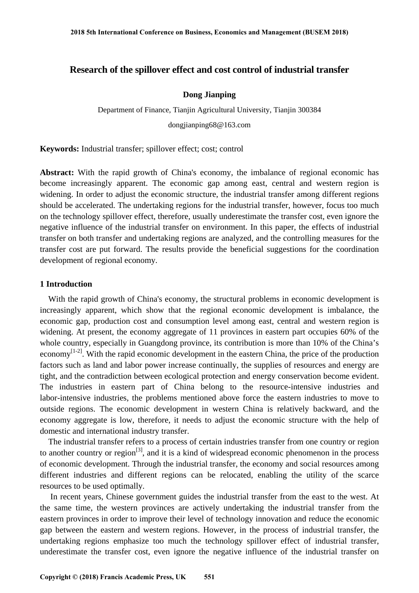# **Research of the spillover effect and cost control of industrial transfer**

#### **Dong Jianping**

Department of Finance, Tianjin Agricultural University, Tianjin 300384 dongjianping68@163.com

**Keywords:** Industrial transfer; spillover effect; cost; control

**Abstract:** With the rapid growth of China's economy, the imbalance of regional economic has become increasingly apparent. The economic gap among east, central and western region is widening. In order to adjust the economic structure, the industrial transfer among different regions should be accelerated. The undertaking regions for the industrial transfer, however, focus too much on the technology spillover effect, therefore, usually underestimate the transfer cost, even ignore the negative influence of the industrial transfer on environment. In this paper, the effects of industrial transfer on both transfer and undertaking regions are analyzed, and the controlling measures for the transfer cost are put forward. The results provide the beneficial suggestions for the coordination development of regional economy.

### **1 Introduction**

With the rapid growth of China's economy, the structural problems in economic development is increasingly apparent, which show that the regional economic development is imbalance, the economic gap, production cost and consumption level among east, central and western region is widening. At present, the economy aggregate of 11 provinces in eastern part occupies 60% of the whole country, especially in Guangdong province, its contribution is more than 10% of the China's economy<sup>[1-2]</sup>. With the rapid economic development in the eastern China, the price of the production factors such as land and labor power increase continually, the supplies of resources and energy are tight, and the contradiction between ecological protection and energy conservation become evident. The industries in eastern part of China belong to the resource-intensive industries and labor-intensive industries, the problems mentioned above force the eastern industries to move to outside regions. The economic development in western China is relatively backward, and the economy aggregate is low, therefore, it needs to adjust the economic structure with the help of domestic and international industry transfer. **2018 5th International Conference on Business, Economics and Management (BUSEM 2018)<br>
<b>Executive of the spillover effect and cost control of industrial framefer<br>
Dong Jianping<br>
Dong International Consequence of the spillo** 

The industrial transfer refers to a process of certain industries transfer from one country or region to another country or region<sup>[3]</sup>, and it is a kind of widespread economic phenomenon in the process of economic development. Through the industrial transfer, the economy and social resources among different industries and different regions can be relocated, enabling the utility of the scarce resources to be used optimally.

In recent years, Chinese government guides the industrial transfer from the east to the west. At the same time, the western provinces are actively undertaking the industrial transfer from the eastern provinces in order to improve their level of technology innovation and reduce the economic gap between the eastern and western regions. However, in the process of industrial transfer, the undertaking regions emphasize too much the technology spillover effect of industrial transfer, underestimate the transfer cost, even ignore the negative influence of the industrial transfer on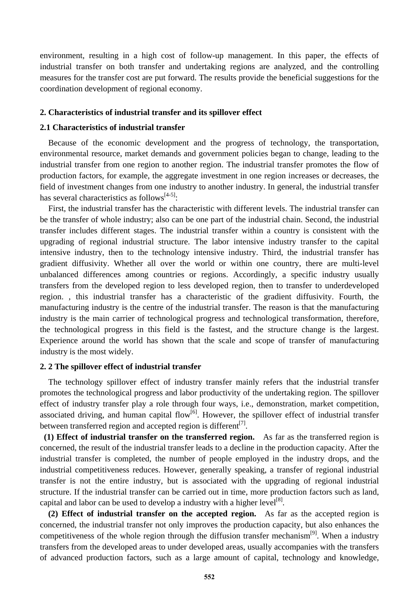environment, resulting in a high cost of follow-up management. In this paper, the effects of industrial transfer on both transfer and undertaking regions are analyzed, and the controlling measures for the transfer cost are put forward. The results provide the beneficial suggestions for the coordination development of regional economy.

#### **2. Characteristics of industrial transfer and its spillover effect**

# **2.1 Characteristics of industrial transfer**

Because of the economic development and the progress of technology, the transportation, environmental resource, market demands and government policies began to change, leading to the industrial transfer from one region to another region. The industrial transfer promotes the flow of production factors, for example, the aggregate investment in one region increases or decreases, the field of investment changes from one industry to another industry. In general, the industrial transfer has several characteristics as follows<sup>[4-5]</sup>:

First, the industrial transfer has the characteristic with different levels. The industrial transfer can be the transfer of whole industry; also can be one part of the industrial chain. Second, the industrial transfer includes different stages. The industrial transfer within a country is consistent with the upgrading of regional industrial structure. The labor intensive industry transfer to the capital intensive industry, then to the technology intensive industry. Third, the industrial transfer has gradient diffusivity. Whether all over the world or within one country, there are multi-level unbalanced differences among countries or regions. Accordingly, a specific industry usually transfers from the developed region to less developed region, then to transfer to underdeveloped region. , this industrial transfer has a characteristic of the gradient diffusivity. Fourth, the manufacturing industry is the centre of the industrial transfer. The reason is that the manufacturing industry is the main carrier of technological progress and technological transformation, therefore, the technological progress in this field is the fastest, and the structure change is the largest. Experience around the world has shown that the scale and scope of transfer of manufacturing industry is the most widely.

#### **2. 2 The spillover effect of industrial transfer**

The technology spillover effect of industry transfer mainly refers that the industrial transfer promotes the technological progress and labor productivity of the undertaking region. The spillover effect of industry transfer play a role through four ways, i.e., demonstration, market competition, associated driving, and human capital flow<sup>[6]</sup>. However, the spillover effect of industrial transfer between transferred region and accepted region is different<sup>[7]</sup>.

**(1) Effect of industrial transfer on the transferred region.** As far as the transferred region is concerned, the result of the industrial transfer leads to a decline in the production capacity. After the industrial transfer is completed, the number of people employed in the industry drops, and the industrial competitiveness reduces. However, generally speaking, a transfer of regional industrial transfer is not the entire industry, but is associated with the upgrading of regional industrial structure. If the industrial transfer can be carried out in time, more production factors such as land, capital and labor can be used to develop a industry with a higher level<sup>[8]</sup>.

**(2) Effect of industrial transfer on the accepted region.** As far as the accepted region is concerned, the industrial transfer not only improves the production capacity, but also enhances the competitiveness of the whole region through the diffusion transfer mechanism<sup>[9]</sup>. When a industry transfers from the developed areas to under developed areas, usually accompanies with the transfers of advanced production factors, such as a large amount of capital, technology and knowledge,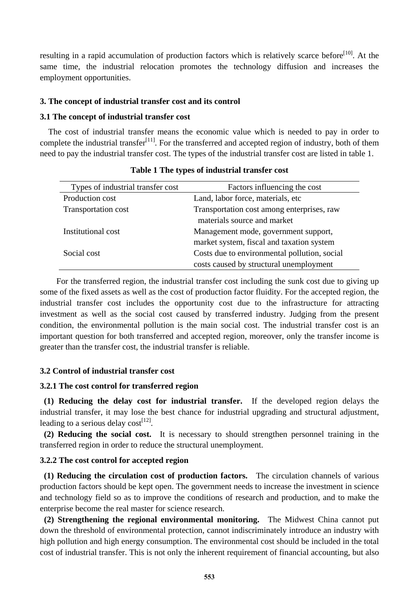resulting in a rapid accumulation of production factors which is relatively scarce before<sup>[10]</sup>. At the same time, the industrial relocation promotes the technology diffusion and increases the employment opportunities.

# **3. The concept of industrial transfer cost and its control**

## **3.1 The concept of industrial transfer cost**

The cost of industrial transfer means the economic value which is needed to pay in order to complete the industrial transfer<sup>[11]</sup>. For the transferred and accepted region of industry, both of them need to pay the industrial transfer cost. The types of the industrial transfer cost are listed in table 1.

| Types of industrial transfer cost | Factors influencing the cost                 |
|-----------------------------------|----------------------------------------------|
| Production cost                   | Land, labor force, materials, etc.           |
| Transportation cost               | Transportation cost among enterprises, raw   |
|                                   | materials source and market                  |
| Institutional cost                | Management mode, government support,         |
|                                   | market system, fiscal and taxation system    |
| Social cost                       | Costs due to environmental pollution, social |
|                                   | costs caused by structural unemployment      |

**Table 1 The types of industrial transfer cost**

For the transferred region, the industrial transfer cost including the sunk cost due to giving up some of the fixed assets as well as the cost of production factor fluidity. For the accepted region, the industrial transfer cost includes the opportunity cost due to the infrastructure for attracting investment as well as the social cost caused by transferred industry. Judging from the present condition, the environmental pollution is the main social cost. The industrial transfer cost is an important question for both transferred and accepted region, moreover, only the transfer income is greater than the transfer cost, the industrial transfer is reliable.

## **3.2 Control of industrial transfer cost**

### **3.2.1 The cost control for transferred region**

**(1) Reducing the delay cost for industrial transfer.** If the developed region delays the industrial transfer, it may lose the best chance for industrial upgrading and structural adjustment, leading to a serious delay  $cost^{[12]}$ .

**(2) Reducing the social cost.** It is necessary to should strengthen personnel training in the transferred region in order to reduce the structural unemployment.

## **3.2.2 The cost control for accepted region**

**(1) Reducing the circulation cost of production factors.** The circulation channels of various production factors should be kept open. The government needs to increase the investment in science and technology field so as to improve the conditions of research and production, and to make the enterprise become the real master for science research.

**(2) Strengthening the regional environmental monitoring.** The Midwest China cannot put down the threshold of environmental protection, cannot indiscriminately introduce an industry with high pollution and high energy consumption. The environmental cost should be included in the total cost of industrial transfer. This is not only the inherent requirement of financial accounting, but also